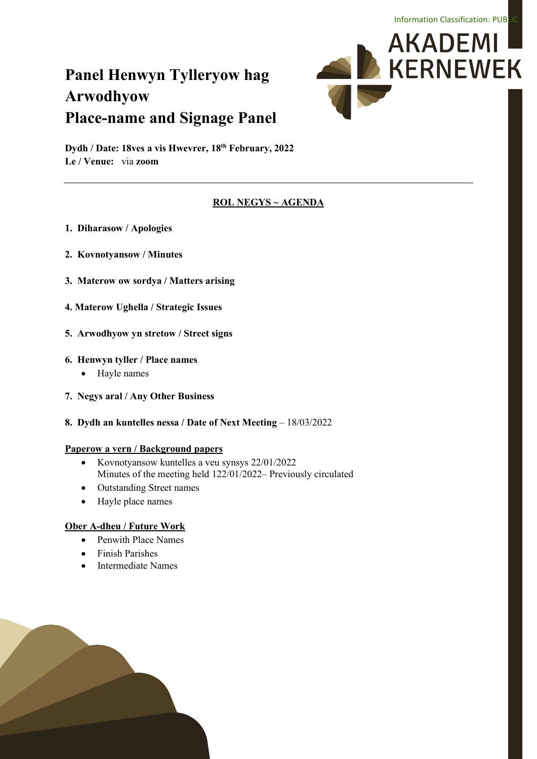# **Panel Henwyn Tylleryow hag Arwodhyow Place-name and Signage Panel**



**Dydh / Date: 18ves a vis Hwevrer, 18th February, 2022 Le / Venue:** via **zoom**

#### **ROL NEGYS ~ AGENDA**

- **1. Diharasow / Apologies**
- **2. Kovnotyansow / Minutes**
- **3. Materow ow sordya / Matters arising**
- **4. Materow Ughella / Strategic Issues**
- **5. Arwodhyow yn stretow / Street signs**

#### **6. Henwyn tyller / Place names**

- Hayle names
- **7. Negys aral / Any Other Business**
- **8. Dydh an kuntelles nessa / Date of Next Meeting 18/03/2022**

#### **Paperow a vern / Background papers**

- Kovnotyansow kuntelles a veu synsys 22/01/2022 Minutes of the meeting held 122/01/2022– Previously circulated
- Outstanding Street names
- Hayle place names

#### **Ober A-dheu / Future Work**

- Penwith Place Names
- Finish Parishes
- Intermediate Names